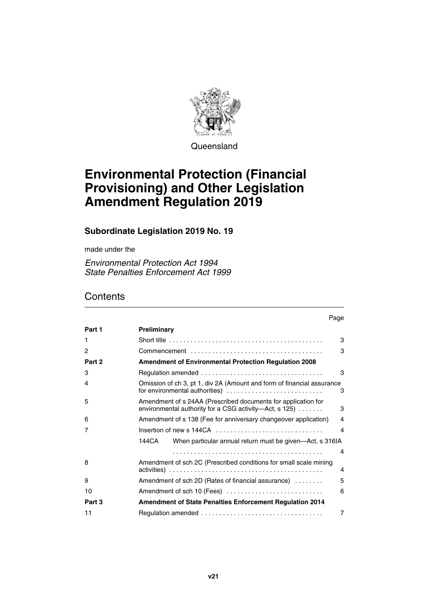

**Queensland** 

# **Environmental Protection (Financial Provisioning) and Other Legislation Amendment Regulation 2019**

## **Subordinate Legislation 2019 No. 19**

made under the

*Environmental Protection Act 1994 State Penalties Enforcement Act 1999* 

# **Contents**

|        | Page                                                                                                                                         |  |
|--------|----------------------------------------------------------------------------------------------------------------------------------------------|--|
| Part 1 | Preliminary                                                                                                                                  |  |
| 1      | 3                                                                                                                                            |  |
| 2      | 3                                                                                                                                            |  |
| Part 2 | <b>Amendment of Environmental Protection Regulation 2008</b>                                                                                 |  |
| 3      | 3                                                                                                                                            |  |
| 4      | Omission of ch 3, pt 1, div 2A (Amount and form of financial assurance<br>for environmental authorities)<br>3                                |  |
| 5      | Amendment of s 24AA (Prescribed documents for application for<br>environmental authority for a CSG activity-Act, $s$ 125) $\dots \dots$<br>3 |  |
| 6      | Amendment of s 138 (Fee for anniversary changeover application)<br>4                                                                         |  |
| 7      | Insertion of new s 144CA<br>4                                                                                                                |  |
|        | 144CA<br>When particular annual return must be given—Act, s 316IA                                                                            |  |
|        | 4                                                                                                                                            |  |
| 8      | Amendment of sch 2C (Prescribed conditions for small scale mining<br>4                                                                       |  |
| 9      | 5<br>Amendment of sch 2D (Rates of financial assurance)                                                                                      |  |
| 10     | Amendment of sch 10 (Fees)<br>6                                                                                                              |  |
| Part 3 | <b>Amendment of State Penalties Enforcement Regulation 2014</b>                                                                              |  |
| 11     | 7                                                                                                                                            |  |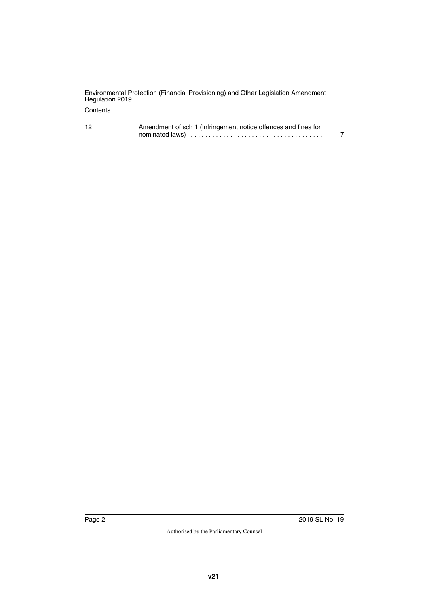|                 | Environmental Protection (Financial Provisioning) and Other Legislation Amendment |
|-----------------|-----------------------------------------------------------------------------------|
| Regulation 2019 |                                                                                   |

#### **Contents**

| 12 | Amendment of sch 1 (Infringement notice offences and fines for                                                  |  |  |
|----|-----------------------------------------------------------------------------------------------------------------|--|--|
|    | nominated laws (etc.), respectively and the new state of the new state of the new state of the new state of the |  |  |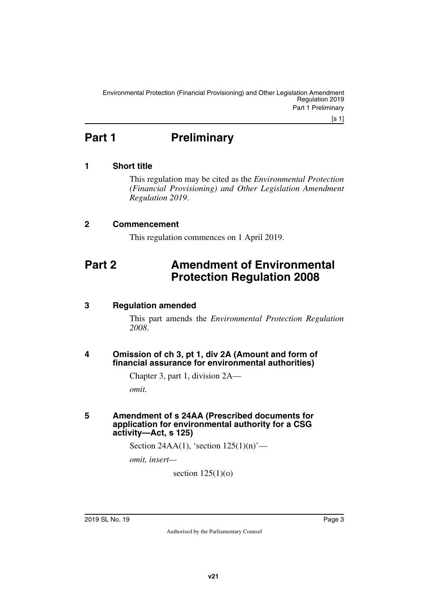[s 1]

# <span id="page-2-0"></span>**Part 1** Preliminary

### <span id="page-2-2"></span>**1 Short title**

<span id="page-2-3"></span><span id="page-2-1"></span>This regulation may be cited as the *Environmental Protection (Financial Provisioning) and Other Legislation Amendment Regulation 2019*.

#### <span id="page-2-4"></span>**2 Commencement**

<span id="page-2-7"></span><span id="page-2-5"></span>This regulation commences on 1 April 2019.

# <span id="page-2-6"></span>**Part 2 Amendment of Environmental Protection Regulation 2008**

#### <span id="page-2-8"></span>**3 Regulation amended**

<span id="page-2-9"></span>This part amends the *Environmental Protection Regulation 2008*.

#### <span id="page-2-11"></span><span id="page-2-10"></span>**4 Omission of ch 3, pt 1, div 2A (Amount and form of financial assurance for environmental authorities)**

Chapter 3, part 1, division 2A—

<span id="page-2-13"></span>*omit.*

#### <span id="page-2-12"></span>**5 Amendment of s 24AA (Prescribed documents for application for environmental authority for a CSG activity—Act, s 125)**

Section 24AA(1), 'section 125(1)(n)'—

*omit, insert—*

section  $125(1)(o)$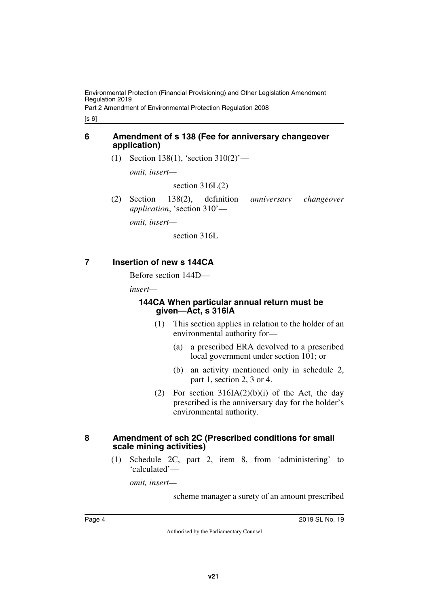Environmental Protection (Financial Provisioning) and Other Legislation Amendment Regulation 2019

Part 2 Amendment of Environmental Protection Regulation 2008

[s 6]

#### <span id="page-3-0"></span>**6 Amendment of s 138 (Fee for anniversary changeover application)**

<span id="page-3-1"></span>(1) Section 138(1), 'section 310(2)'—

*omit, insert—*

section  $316L(2)$ 

(2) Section 138(2), definition *anniversary changeover application*, 'section 310'—

*omit, insert—*

section 316L

## <span id="page-3-2"></span>**7 Insertion of new s 144CA**

<span id="page-3-3"></span>Before section 144D—

*insert—*

#### <span id="page-3-5"></span><span id="page-3-4"></span>**144CA When particular annual return must be given—Act, s 316IA**

- (1) This section applies in relation to the holder of an environmental authority for—
	- (a) a prescribed ERA devolved to a prescribed local government under section 101; or
	- (b) an activity mentioned only in schedule 2, part 1, section 2, 3 or 4.
- (2) For section  $316IA(2)(b)(i)$  of the Act, the day prescribed is the anniversary day for the holder's environmental authority.

#### <span id="page-3-6"></span>**8 Amendment of sch 2C (Prescribed conditions for small scale mining activities)**

<span id="page-3-7"></span>(1) Schedule 2C, part 2, item 8, from 'administering' to 'calculated'—

*omit, insert—*

scheme manager a surety of an amount prescribed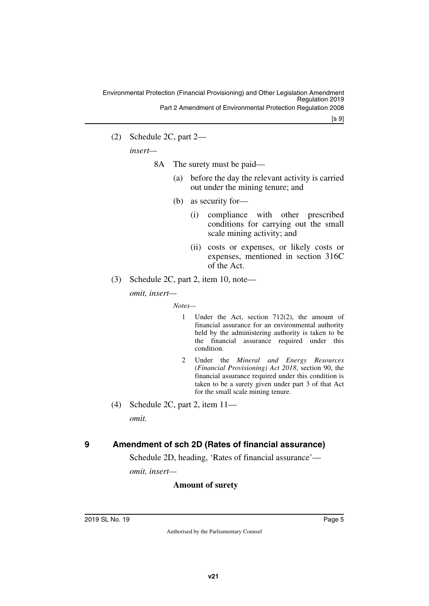(2) Schedule 2C, part 2—

*insert—*

- 8A The surety must be paid—
	- (a) before the day the relevant activity is carried out under the mining tenure; and
	- (b) as security for—
		- (i) compliance with other prescribed conditions for carrying out the small scale mining activity; and
		- (ii) costs or expenses, or likely costs or expenses, mentioned in section 316C of the Act.
- (3) Schedule 2C, part 2, item 10, note *omit, insert—*

*Notes—*

- 1 Under the Act, section 712(2), the amount of financial assurance for an environmental authority held by the administering authority is taken to be the financial assurance required under this condition.
- 2 Under the *Mineral and Energy Resources (Financial Provisioning) Act 2018*, section 90, the financial assurance required under this condition is taken to be a surety given under part 3 of that Act for the small scale mining tenure.
- (4) Schedule 2C, part 2, item 11 *omit.*

## <span id="page-4-0"></span>**9 Amendment of sch 2D (Rates of financial assurance)**

<span id="page-4-1"></span>Schedule 2D, heading, 'Rates of financial assurance'—

*omit, insert—*

#### **Amount of surety**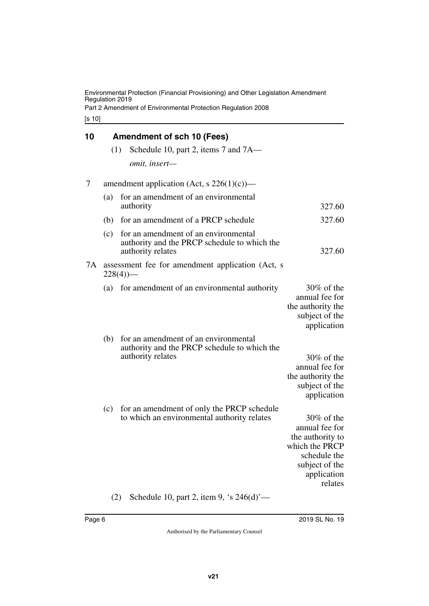Environmental Protection (Financial Provisioning) and Other Legislation Amendment Regulation 2019

Part 2 Amendment of Environmental Protection Regulation 2008

[s 10]

<span id="page-5-1"></span><span id="page-5-0"></span>

| 10 |     | <b>Amendment of sch 10 (Fees)</b>                                                                         |                                                                                                                                   |
|----|-----|-----------------------------------------------------------------------------------------------------------|-----------------------------------------------------------------------------------------------------------------------------------|
|    | (1) | Schedule 10, part 2, items 7 and 7A—                                                                      |                                                                                                                                   |
|    |     | omit, insert-                                                                                             |                                                                                                                                   |
| 7  |     | amendment application (Act, s $226(1)(c)$ )—                                                              |                                                                                                                                   |
|    | (a) | for an amendment of an environmental<br>authority                                                         | 327.60                                                                                                                            |
|    | (b) | for an amendment of a PRCP schedule                                                                       | 327.60                                                                                                                            |
|    | (c) | for an amendment of an environmental<br>authority and the PRCP schedule to which the<br>authority relates | 327.60                                                                                                                            |
| 7A |     | assessment fee for amendment application (Act, s<br>$228(4)$ )—                                           |                                                                                                                                   |
|    | (a) | for amendment of an environmental authority                                                               | $30\%$ of the<br>annual fee for<br>the authority the<br>subject of the<br>application                                             |
|    | (b) | for an amendment of an environmental<br>authority and the PRCP schedule to which the<br>authority relates | $30\%$ of the<br>annual fee for<br>the authority the<br>subject of the<br>application                                             |
|    | (c) | for an amendment of only the PRCP schedule<br>to which an environmental authority relates                 | $30\%$ of the<br>annual fee for<br>the authority to<br>which the PRCP<br>schedule the<br>subject of the<br>application<br>relates |

(2) Schedule 10, part 2, item 9, 's 246(d)'—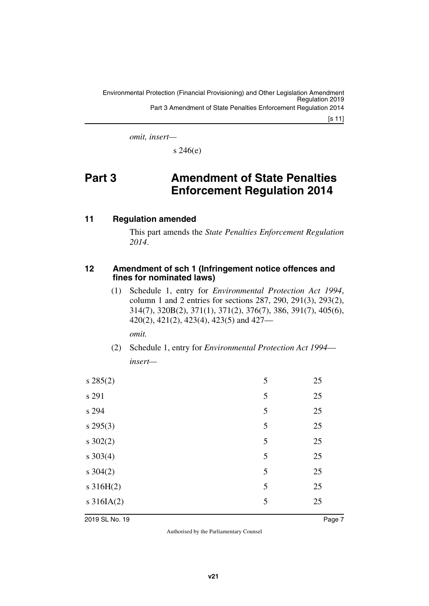*omit, insert—*

<span id="page-6-1"></span> $s\,246(e)$ 

# <span id="page-6-0"></span>**Part 3 Amendment of State Penalties Enforcement Regulation 2014**

#### <span id="page-6-2"></span>**11 Regulation amended**

<span id="page-6-3"></span>This part amends the *State Penalties Enforcement Regulation 2014*.

#### <span id="page-6-5"></span><span id="page-6-4"></span>**12 Amendment of sch 1 (Infringement notice offences and fines for nominated laws)**

(1) Schedule 1, entry for *Environmental Protection Act 1994*, column 1 and 2 entries for sections 287, 290, 291(3), 293(2), 314(7), 320B(2), 371(1), 371(2), 376(7), 386, 391(7), 405(6), 420(2), 421(2), 423(4), 423(5) and 427—

*omit.*

(2) Schedule 1, entry for *Environmental Protection Act 1994 insert—*

| $s\,285(2)$    | 5 | 25 |
|----------------|---|----|
| s 291          | 5 | 25 |
| s 294          | 5 | 25 |
| $s$ 295(3)     | 5 | 25 |
| $s \, 302(2)$  | 5 | 25 |
| $s \, 303(4)$  | 5 | 25 |
| $s \, 304(2)$  | 5 | 25 |
| $s \, 316H(2)$ | 5 | 25 |
| $s$ 316IA(2)   | 5 | 25 |
|                |   |    |

2019 SL No. 19 Page 7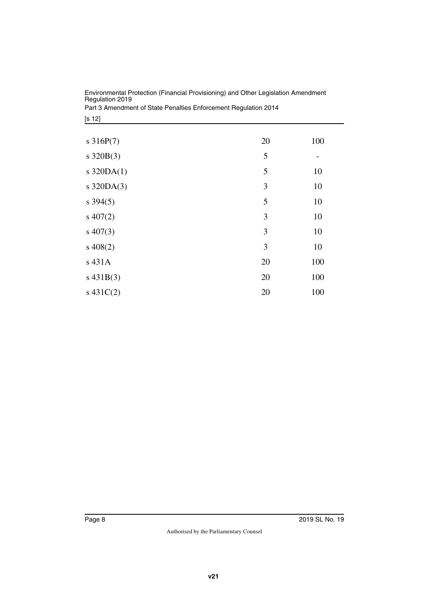| Environmental Protection (Financial Provisioning) and Other Legislation Amendment |
|-----------------------------------------------------------------------------------|
| Regulation 2019                                                                   |
| Part 3 Amendment of State Penalties Enforcement Regulation 2014                   |

[s 12]

| $s \, 316P(7)$ | 20 | 100 |
|----------------|----|-----|
| $s \, 320B(3)$ | 5  |     |
| s $320DA(1)$   | 5  | 10  |
| s $320DA(3)$   | 3  | 10  |
| $s\,394(5)$    | 5  | 10  |
| $s\ 407(2)$    | 3  | 10  |
| $s\ 407(3)$    | 3  | 10  |
| $s\ 408(2)$    | 3  | 10  |
| s 431A         | 20 | 100 |
| $s\,431B(3)$   | 20 | 100 |
| $s\ 431C(2)$   | 20 | 100 |
|                |    |     |